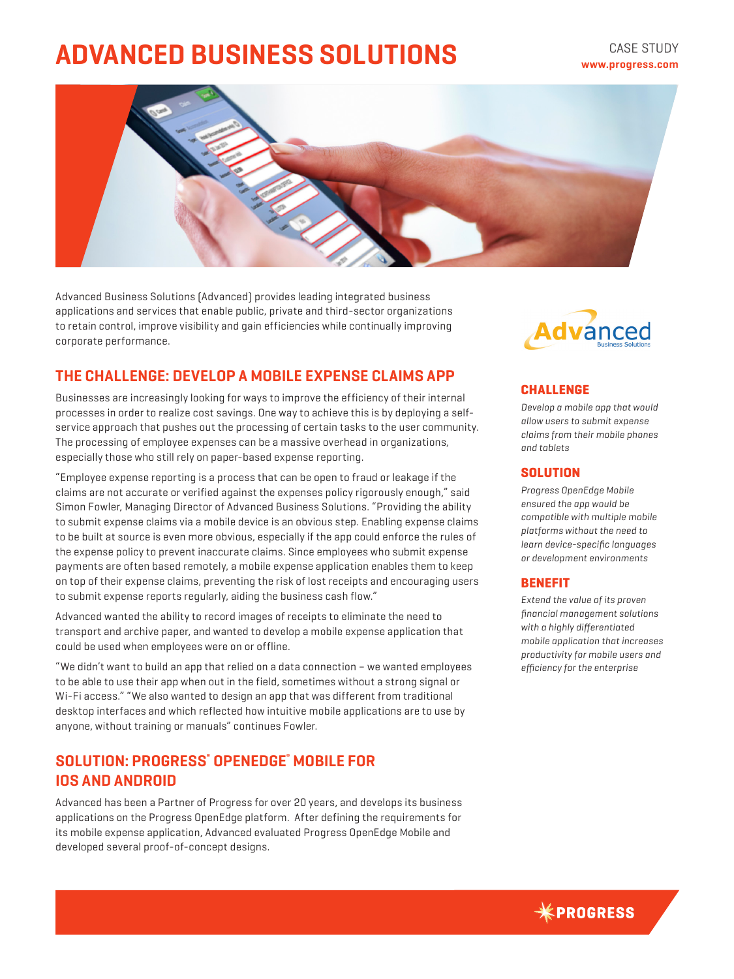# **ADVANCED BUSINESS SOLUTIONS**



Advanced Business Solutions (Advanced) provides leading integrated business applications and services that enable public, private and third-sector organizations to retain control, improve visibility and gain efficiencies while continually improving corporate performance.

# **THE CHALLENGE: DEVELOP A MOBILE EXPENSE CLAIMS APP**

Businesses are increasingly looking for ways to improve the efficiency of their internal processes in order to realize cost savings. One way to achieve this is by deploying a selfservice approach that pushes out the processing of certain tasks to the user community. The processing of employee expenses can be a massive overhead in organizations, especially those who still rely on paper-based expense reporting.

"Employee expense reporting is a process that can be open to fraud or leakage if the claims are not accurate or verified against the expenses policy rigorously enough," said Simon Fowler, Managing Director of Advanced Business Solutions. "Providing the ability to submit expense claims via a mobile device is an obvious step. Enabling expense claims to be built at source is even more obvious, especially if the app could enforce the rules of the expense policy to prevent inaccurate claims. Since employees who submit expense payments are often based remotely, a mobile expense application enables them to keep on top of their expense claims, preventing the risk of lost receipts and encouraging users to submit expense reports regularly, aiding the business cash flow."

Advanced wanted the ability to record images of receipts to eliminate the need to transport and archive paper, and wanted to develop a mobile expense application that could be used when employees were on or offline.

"We didn't want to build an app that relied on a data connection – we wanted employees to be able to use their app when out in the field, sometimes without a strong signal or Wi-Fi access." "We also wanted to design an app that was different from traditional desktop interfaces and which reflected how intuitive mobile applications are to use by anyone, without training or manuals" continues Fowler.

# **SOLUTION: PROGRESS® OPENEDGE® MOBILE FOR IOS AND ANDROID**

Advanced has been a Partner of Progress for over 20 years, and develops its business applications on the Progress OpenEdge platform. After defining the requirements for its mobile expense application, Advanced evaluated Progress OpenEdge Mobile and developed several proof-of-concept designs.



## **CHALLENGE**

*Develop a mobile app that would allow users to submit expense claims from their mobile phones and tablets*

#### **SOLUTION**

*Progress OpenEdge Mobile ensured the app would be compatible with multiple mobile platforms without the need to learn device-specific languages or development environments*

### **BENEFIT**

*Extend the value of its proven financial management solutions with a highly differentiated mobile application that increases productivity for mobile users and efficiency for the enterprise*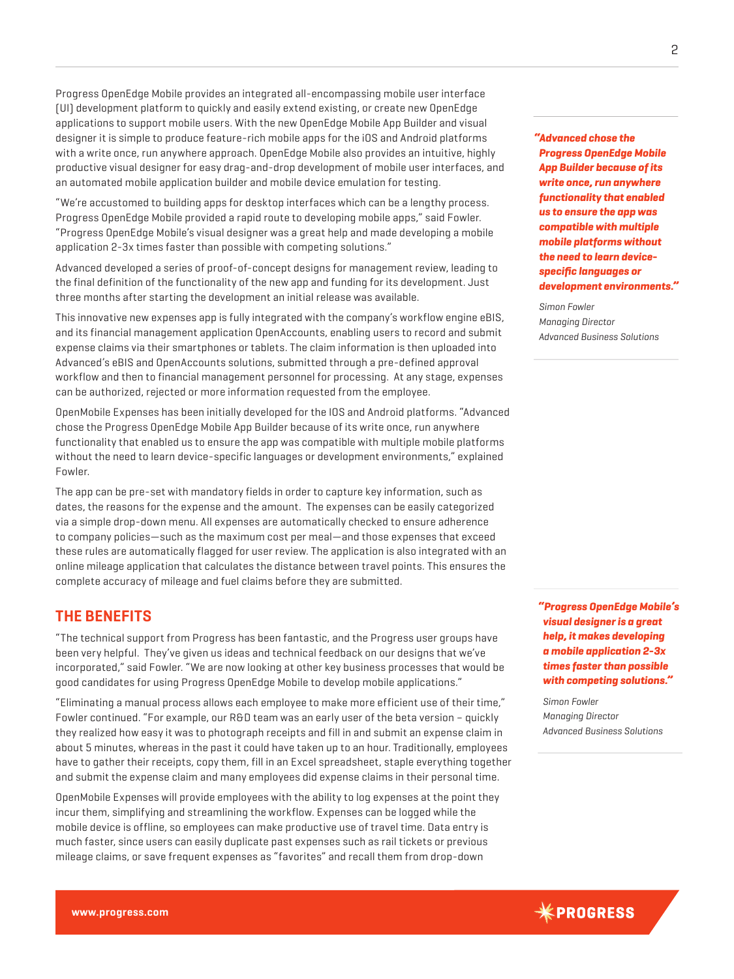Progress OpenEdge Mobile provides an integrated all-encompassing mobile user interface (UI) development platform to quickly and easily extend existing, or create new OpenEdge applications to support mobile users. With the new OpenEdge Mobile App Builder and visual designer it is simple to produce feature-rich mobile apps for the iOS and Android platforms with a write once, run anywhere approach. OpenEdge Mobile also provides an intuitive, highly productive visual designer for easy drag-and-drop development of mobile user interfaces, and an automated mobile application builder and mobile device emulation for testing.

"We're accustomed to building apps for desktop interfaces which can be a lengthy process. Progress OpenEdge Mobile provided a rapid route to developing mobile apps," said Fowler. "Progress OpenEdge Mobile's visual designer was a great help and made developing a mobile application 2-3x times faster than possible with competing solutions."

Advanced developed a series of proof-of-concept designs for management review, leading to the final definition of the functionality of the new app and funding for its development. Just three months after starting the development an initial release was available.

This innovative new expenses app is fully integrated with the company's workflow engine eBIS, and its financial management application OpenAccounts, enabling users to record and submit expense claims via their smartphones or tablets. The claim information is then uploaded into Advanced's eBIS and OpenAccounts solutions, submitted through a pre-defined approval workflow and then to financial management personnel for processing. At any stage, expenses can be authorized, rejected or more information requested from the employee.

OpenMobile Expenses has been initially developed for the IOS and Android platforms. "Advanced chose the Progress OpenEdge Mobile App Builder because of its write once, run anywhere functionality that enabled us to ensure the app was compatible with multiple mobile platforms without the need to learn device-specific languages or development environments," explained Fowler.

The app can be pre-set with mandatory fields in order to capture key information, such as dates, the reasons for the expense and the amount. The expenses can be easily categorized via a simple drop-down menu. All expenses are automatically checked to ensure adherence to company policies—such as the maximum cost per meal—and those expenses that exceed these rules are automatically flagged for user review. The application is also integrated with an online mileage application that calculates the distance between travel points. This ensures the complete accuracy of mileage and fuel claims before they are submitted.

## **THE BENEFITS**

"The technical support from Progress has been fantastic, and the Progress user groups have been very helpful. They've given us ideas and technical feedback on our designs that we've incorporated," said Fowler. "We are now looking at other key business processes that would be good candidates for using Progress OpenEdge Mobile to develop mobile applications."

"Eliminating a manual process allows each employee to make more efficient use of their time," Fowler continued. "For example, our R&D team was an early user of the beta version – quickly they realized how easy it was to photograph receipts and fill in and submit an expense claim in about 5 minutes, whereas in the past it could have taken up to an hour. Traditionally, employees have to gather their receipts, copy them, fill in an Excel spreadsheet, staple everything together and submit the expense claim and many employees did expense claims in their personal time.

OpenMobile Expenses will provide employees with the ability to log expenses at the point they incur them, simplifying and streamlining the workflow. Expenses can be logged while the mobile device is offline, so employees can make productive use of travel time. Data entry is much faster, since users can easily duplicate past expenses such as rail tickets or previous mileage claims, or save frequent expenses as "favorites" and recall them from drop-down

*"Advanced chose the Progress OpenEdge Mobile App Builder because of its write once, run anywhere functionality that enabled us to ensure the app was compatible with multiple mobile platforms without the need to learn devicespecific languages or development environments."* 

*Simon Fowler Managing Director Advanced Business Solutions*

*"Progress OpenEdge Mobile's visual designer is a great help, it makes developing a mobile application 2-3x times faster than possible with competing solutions."* 

*Simon Fowler Managing Director Advanced Business Solutions*